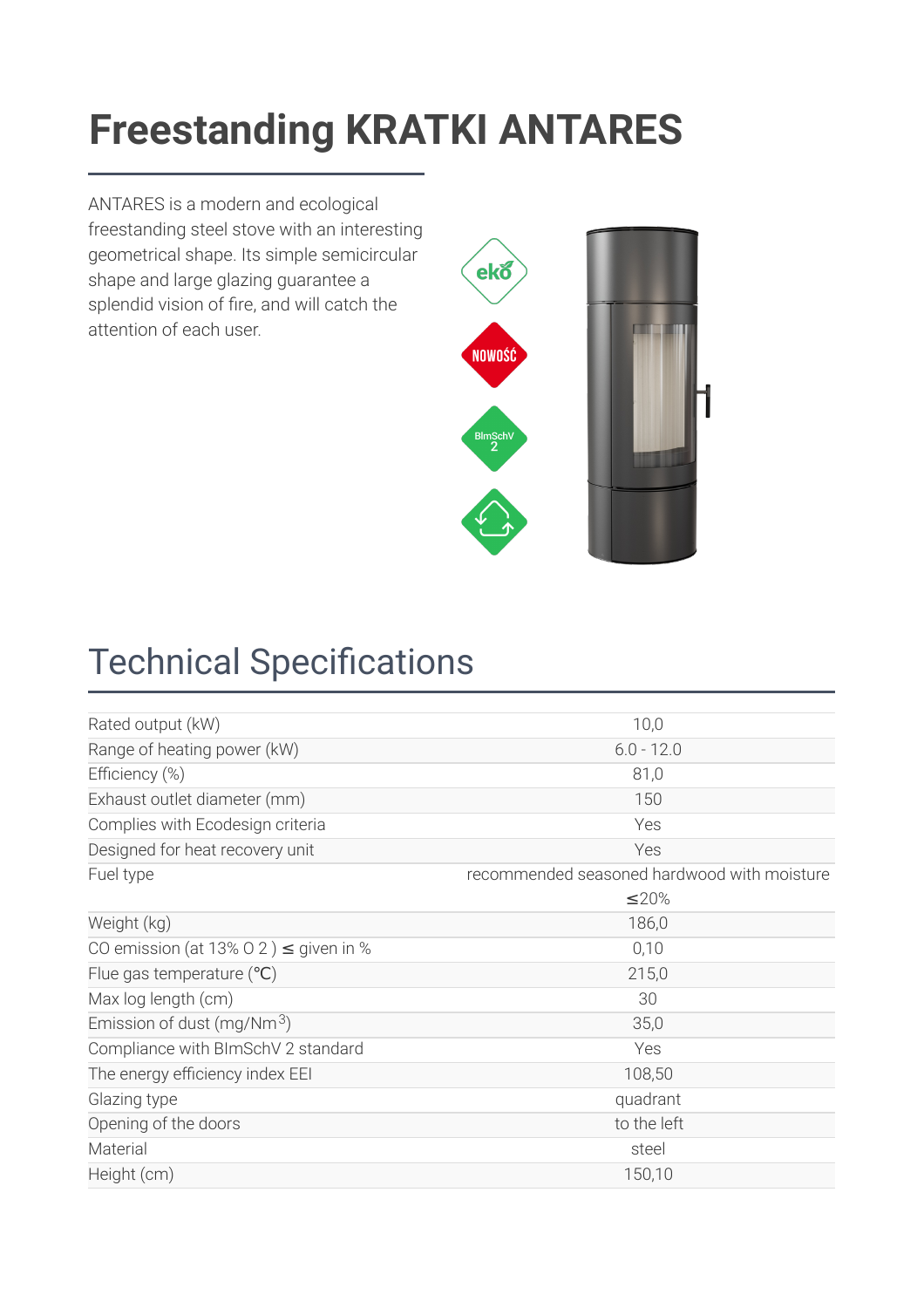### Ergestanding KRATKI ANTARES **[Freestanding KRATK](https://kratki.com/sklep/en/produkt/2940/stove-antares-10)I ANTARES**

ANTARES is a modern and ecological freestanding steel stove with an interesting geometrical shape. Its simple semicircular shape and large glazing guarantee a splendid vision of fire, and will catch the attention of each user.



# **Technical Specifications**

| Rated output (kW)                          | 10,0                                        |  |
|--------------------------------------------|---------------------------------------------|--|
| Range of heating power (kW)                | $6.0 - 12.0$                                |  |
| Efficiency (%)                             | 81,0                                        |  |
| Exhaust outlet diameter (mm)               | 150                                         |  |
| Complies with Ecodesign criteria           | Yes                                         |  |
| Designed for heat recovery unit            | Yes                                         |  |
| Fuel type                                  | recommended seasoned hardwood with moisture |  |
|                                            | ≤20%                                        |  |
| Weight (kg)                                | 186,0                                       |  |
| CO emission (at 13% O 2) $\leq$ given in % | 0,10                                        |  |
| Flue gas temperature $(°C)$                | 215,0                                       |  |
| Max log length (cm)                        | 30                                          |  |
| Emission of dust (mg/Nm <sup>3</sup> )     | 35,0                                        |  |
| Compliance with BImSchV 2 standard         | Yes                                         |  |
| The energy efficiency index EEI            | 108,50                                      |  |
| Glazing type                               | quadrant                                    |  |
| Opening of the doors                       | to the left                                 |  |
| Material                                   | steel                                       |  |
| Height (cm)                                | 150,10                                      |  |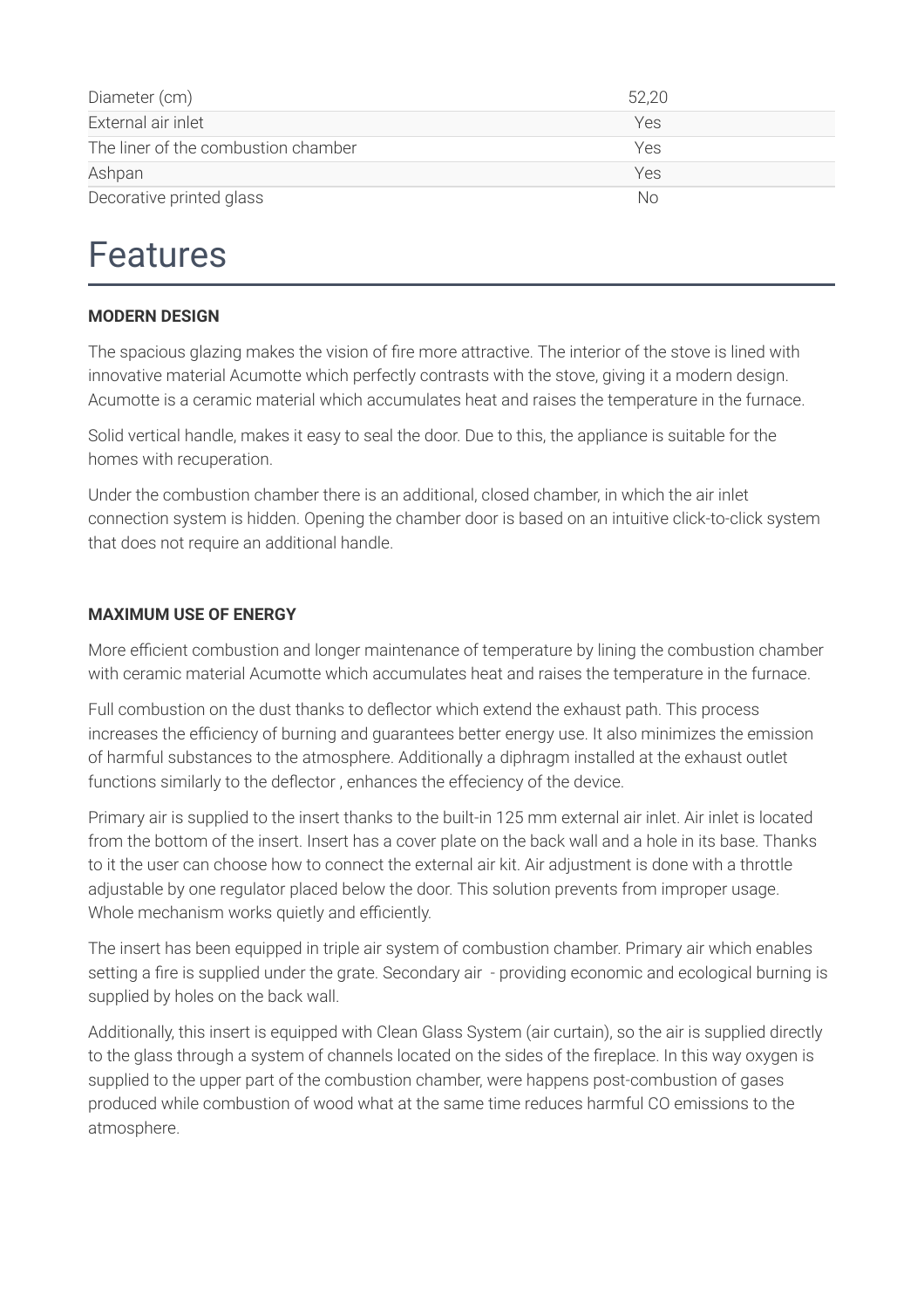| Diameter (cm)                       | 52,20 |  |
|-------------------------------------|-------|--|
| External air inlet                  | Yes   |  |
| The liner of the combustion chamber | Yes   |  |
| Ashpan                              | Yes   |  |
| Decorative printed glass            | Nο    |  |

### Features

#### **MODERN DESIGN**

The spacious glazing makes the vision of fire more attractive. The interior of the stove is lined with innovative material Acumotte which perfectly contrasts with the stove, giving it a modern design. Acumotte is a ceramic material which accumulates heat and raises the temperature in the furnace.

Solid vertical handle, makes it easy to seal the door. Due to this, the appliance is suitable for the homes with recuperation.

Under the combustion chamber there is an additional, closed chamber, in which the air inlet connection system is hidden. Opening the chamber door is based on an intuitive click-to-click system that does not require an additional handle.

#### **MAXIMUM USE OF ENERGY**

More efficient combustion and longer maintenance of temperature by lining the combustion chamber with ceramic material Acumotte which accumulates heat and raises the temperature in the furnace.

Full combustion on the dust thanks to deflector which extend the exhaust path. This process increases the efficiency of burning and guarantees better energy use. It also minimizes the emission of harmful substances to the atmosphere. Additionally a diphragm installed at the exhaust outlet functions similarly to the deflector, enhances the effeciency of the device.

Primary air is supplied to the insert thanks to the built-in 125 mm external air inlet. Air inlet is located from the bottom of the insert. Insert has a cover plate on the back wall and a hole in its base. Thanks to it the user can choose how to connect the external air kit. Air adjustment is done with a throttle adjustable by one regulator placed below the door. This solution prevents from improper usage. Whole mechanism works quietly and efficiently.

The insert has been equipped in triple air system of combustion chamber. Primary air which enables setting a fire is supplied under the grate. Secondary air - providing economic and ecological burning is supplied by holes on the back wall.

Additionally, this insert is equipped with Clean Glass System (air curtain), so the air is supplied directly to the glass through a system of channels located on the sides of the fireplace. In this way oxygen is supplied to the upper part of the combustion chamber, were happens post-combustion of gases produced while combustion of wood what at the same time reduces harmful CO emissions to the atmosphere.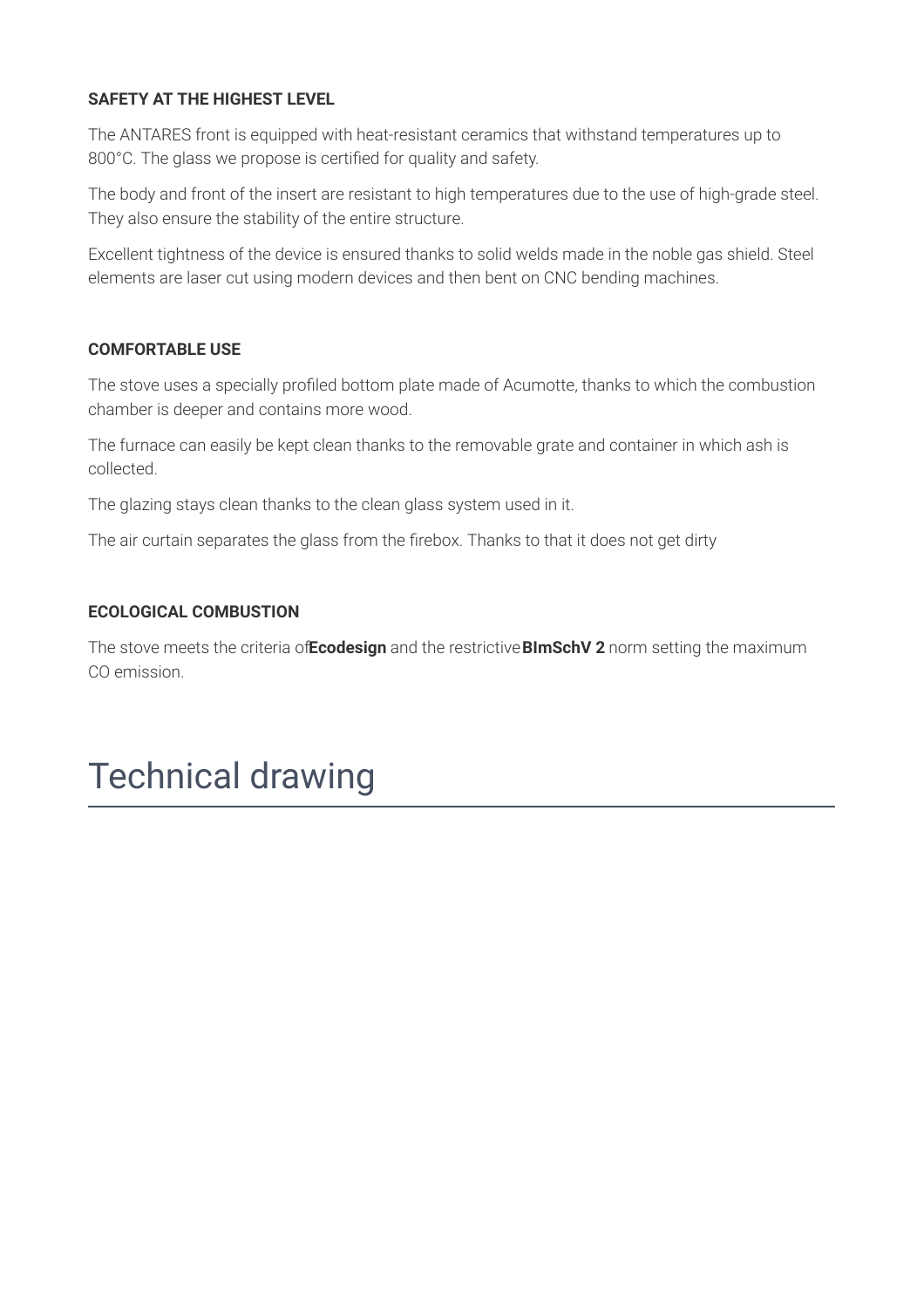#### **SAFETY AT THE HIGHEST LEVEL**

The ANTARES front is equipped with heat-resistant ceramics that withstand temperatures up to 800°C. The glass we propose is certified for quality and safety.

The body and front of the insert are resistant to high temperatures due to the use of high-grade steel. They also ensure the stability of the entire structure.

Excellent tightness of the device is ensured thanks to solid welds made in the noble gas shield. Steel elements are laser cut using modern devices and then bent on CNC bending machines.

#### **COMFORTABLE USE**

The stove uses a specially profiled bottom plate made of Acumotte, thanks to which the combustion chamber is deeper and contains more wood.

The furnace can easily be kept clean thanks to the removable grate and container in which ash is collected.

The glazing stays clean thanks to the clean glass system used in it.

The air curtain separates the glass from the firebox. Thanks to that it does not get dirty

#### **ECOLOGICAL COMBUSTION**

The stove meets the criteria of**Ecodesign** and the restrictive**BImSchV 2** norm setting the maximum CO emission.

# Technical drawing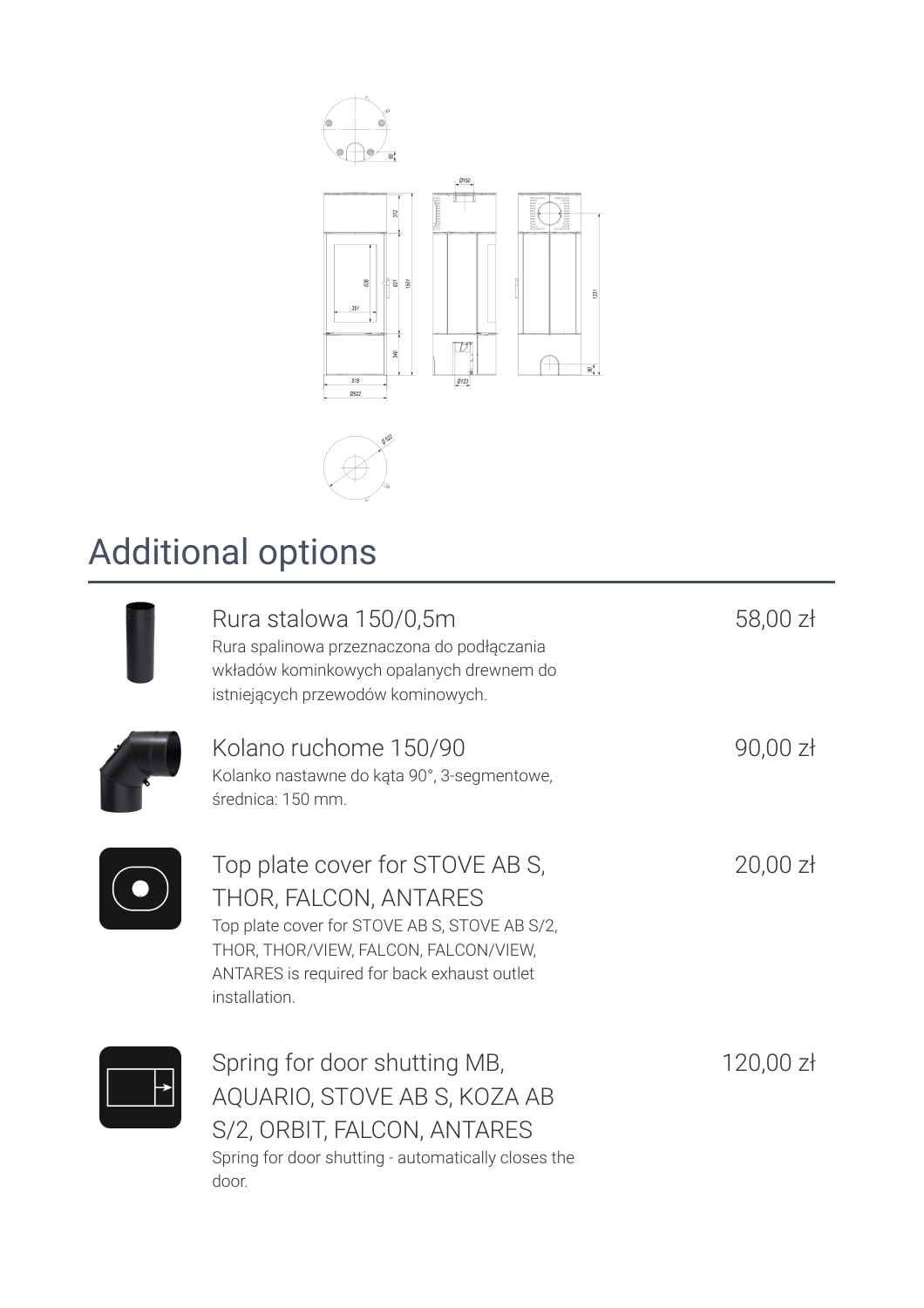



# Additional options

| Rura stalowa 150/0,5m<br>Rura spalinowa przeznaczona do podłączania<br>wkładów kominkowych opalanych drewnem do<br>istniejących przewodów kominowych.                                                              | 58,00 zł    |
|--------------------------------------------------------------------------------------------------------------------------------------------------------------------------------------------------------------------|-------------|
| Kolano ruchome 150/90<br>Kolanko nastawne do kąta 90°, 3-segmentowe,<br>średnica: 150 mm.                                                                                                                          | $90,00$ zł  |
| Top plate cover for STOVE AB S,<br>THOR, FALCON, ANTARES<br>Top plate cover for STOVE AB S, STOVE AB S/2,<br>THOR, THOR/VIEW, FALCON, FALCON/VIEW,<br>ANTARES is required for back exhaust outlet<br>installation. | $20,00$ zł  |
| Spring for door shutting MB,<br>AQUARIO, STOVE AB S, KOZA AB<br>S/2, ORBIT, FALCON, ANTARES                                                                                                                        | $120,00$ zł |

Spring for door shutting - automatically closes the door.